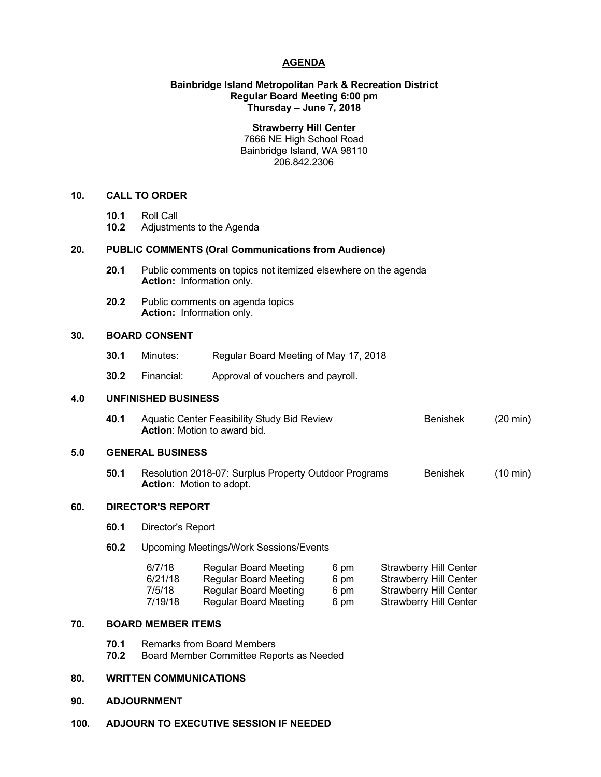## **AGENDA**

# **Bainbridge Island Metropolitan Park & Recreation District Regular Board Meeting 6:00 pm Thursday – June 7, 2018**

**Strawberry Hill Center** 7666 NE High School Road Bainbridge Island, WA 98110 206.842.2306

## **10. CALL TO ORDER**

- **10.1** Roll Call
- **10.2** Adjustments to the Agenda

# **20. PUBLIC COMMENTS (Oral Communications from Audience)**

- **20.1** Public comments on topics not itemized elsewhere on the agenda **Action:** Information only.
- **20.2** Public comments on agenda topics **Action:** Information only.

# **30. BOARD CONSENT**

- **30.1** Minutes: Regular Board Meeting of May 17, 2018
- **30.2** Financial: Approval of vouchers and payroll.

# **4.0 UNFINISHED BUSINESS**

**40.1** Aquatic Center Feasibility Study Bid Review **Benishek** (20 min) **Action**: Motion to award bid.

# **5.0 GENERAL BUSINESS**

**50.1** Resolution 2018-07: Surplus Property Outdoor Programs Benishek (10 min) **Action**: Motion to adopt.

# **60. DIRECTOR'S REPORT**

- **60.1** Director's Report
- **60.2** Upcoming Meetings/Work Sessions/Events

| 6/7/18  | <b>Regular Board Meeting</b> | 6 pm | <b>Strawberry Hill Center</b> |
|---------|------------------------------|------|-------------------------------|
| 6/21/18 | Regular Board Meeting        | 6 pm | <b>Strawberry Hill Center</b> |
| 7/5/18  | Regular Board Meeting        | 6 pm | <b>Strawberry Hill Center</b> |
| 7/19/18 | Regular Board Meeting        | 6 pm | <b>Strawberry Hill Center</b> |

#### **70. BOARD MEMBER ITEMS**

- **70.1** Remarks from Board Members
- **70.2** Board Member Committee Reports as Needed

### **80. WRITTEN COMMUNICATIONS**

## **90. ADJOURNMENT**

**100. ADJOURN TO EXECUTIVE SESSION IF NEEDED**